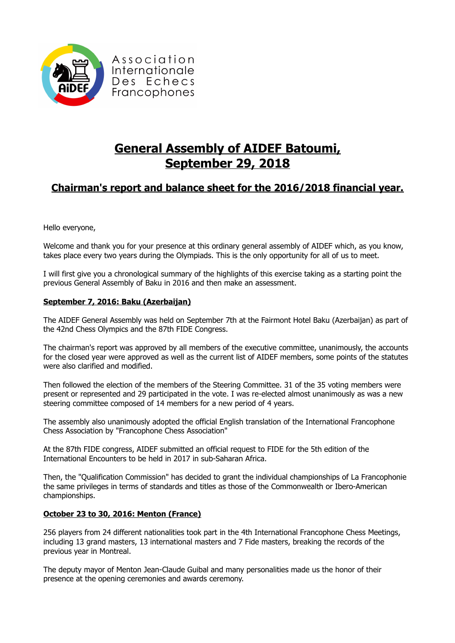

# **General Assembly of AIDEF Batoumi, September 29, 2018**

## **Chairman's report and balance sheet for the 2016/2018 financial year.**

Hello everyone,

Welcome and thank you for your presence at this ordinary general assembly of AIDEF which, as you know, takes place every two years during the Olympiads. This is the only opportunity for all of us to meet.

I will first give you a chronological summary of the highlights of this exercise taking as a starting point the previous General Assembly of Baku in 2016 and then make an assessment.

## **September 7, 2016: Baku (Azerbaijan)**

The AIDEF General Assembly was held on September 7th at the Fairmont Hotel Baku (Azerbaijan) as part of the 42nd Chess Olympics and the 87th FIDE Congress.

The chairman's report was approved by all members of the executive committee, unanimously, the accounts for the closed year were approved as well as the current list of AIDEF members, some points of the statutes were also clarified and modified.

Then followed the election of the members of the Steering Committee. 31 of the 35 voting members were present or represented and 29 participated in the vote. I was re-elected almost unanimously as was a new steering committee composed of 14 members for a new period of 4 years.

The assembly also unanimously adopted the official English translation of the International Francophone Chess Association by "Francophone Chess Association"

At the 87th FIDE congress, AIDEF submitted an official request to FIDE for the 5th edition of the International Encounters to be held in 2017 in sub-Saharan Africa.

Then, the "Qualification Commission" has decided to grant the individual championships of La Francophonie the same privileges in terms of standards and titles as those of the Commonwealth or Ibero-American championships.

## **October 23 to 30, 2016: Menton (France)**

256 players from 24 different nationalities took part in the 4th International Francophone Chess Meetings, including 13 grand masters, 13 international masters and 7 Fide masters, breaking the records of the previous year in Montreal.

The deputy mayor of Menton Jean-Claude Guibal and many personalities made us the honor of their presence at the opening ceremonies and awards ceremony.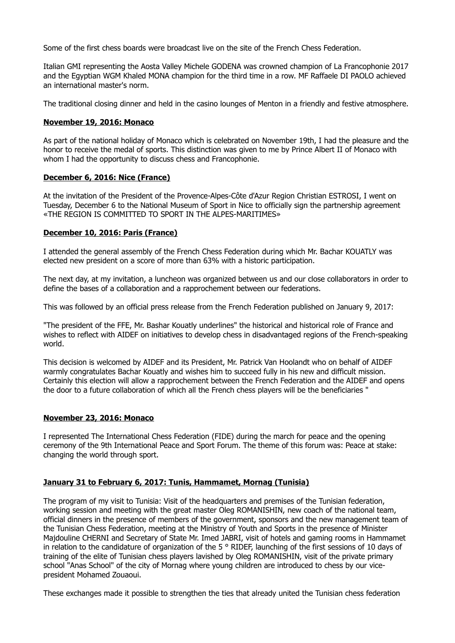Some of the first chess boards were broadcast live on the site of the French Chess Federation.

Italian GMI representing the Aosta Valley Michele GODENA was crowned champion of La Francophonie 2017 and the Egyptian WGM Khaled MONA champion for the third time in a row. MF Raffaele DI PAOLO achieved an international master's norm.

The traditional closing dinner and held in the casino lounges of Menton in a friendly and festive atmosphere.

#### **November 19, 2016: Monaco**

As part of the national holiday of Monaco which is celebrated on November 19th, I had the pleasure and the honor to receive the medal of sports. This distinction was given to me by Prince Albert II of Monaco with whom I had the opportunity to discuss chess and Francophonie.

#### **December 6, 2016: Nice (France)**

At the invitation of the President of the Provence-Alpes-Côte d'Azur Region Christian ESTROSI, I went on Tuesday, December 6 to the National Museum of Sport in Nice to officially sign the partnership agreement «THE REGION IS COMMITTED TO SPORT IN THE ALPES-MARITIMES»

#### **December 10, 2016: Paris (France)**

I attended the general assembly of the French Chess Federation during which Mr. Bachar KOUATLY was elected new president on a score of more than 63% with a historic participation.

The next day, at my invitation, a luncheon was organized between us and our close collaborators in order to define the bases of a collaboration and a rapprochement between our federations.

This was followed by an official press release from the French Federation published on January 9, 2017:

"The president of the FFE, Mr. Bashar Kouatly underlines" the historical and historical role of France and wishes to reflect with AIDEF on initiatives to develop chess in disadvantaged regions of the French-speaking world.

This decision is welcomed by AIDEF and its President, Mr. Patrick Van Hoolandt who on behalf of AIDEF warmly congratulates Bachar Kouatly and wishes him to succeed fully in his new and difficult mission. Certainly this election will allow a rapprochement between the French Federation and the AIDEF and opens the door to a future collaboration of which all the French chess players will be the beneficiaries "

#### **November 23, 2016: Monaco**

I represented The International Chess Federation (FIDE) during the march for peace and the opening ceremony of the 9th International Peace and Sport Forum. The theme of this forum was: Peace at stake: changing the world through sport.

#### **January 31 to February 6, 2017: Tunis, Hammamet, Mornag (Tunisia)**

The program of my visit to Tunisia: Visit of the headquarters and premises of the Tunisian federation, working session and meeting with the great master Oleg ROMANISHIN, new coach of the national team, official dinners in the presence of members of the government, sponsors and the new management team of the Tunisian Chess Federation, meeting at the Ministry of Youth and Sports in the presence of Minister Majdouline CHERNI and Secretary of State Mr. Imed JABRI, visit of hotels and gaming rooms in Hammamet in relation to the candidature of organization of the 5 ° RIDEF, launching of the first sessions of 10 days of training of the elite of Tunisian chess players lavished by Oleg ROMANISHIN, visit of the private primary school "Anas School" of the city of Mornag where young children are introduced to chess by our vicepresident Mohamed Zouaoui.

These exchanges made it possible to strengthen the ties that already united the Tunisian chess federation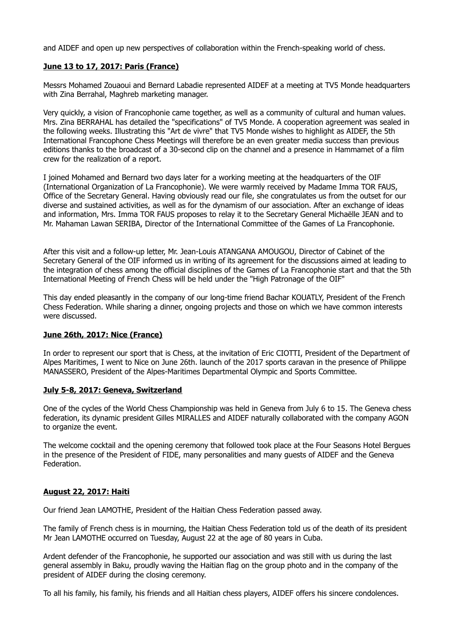and AIDEF and open up new perspectives of collaboration within the French-speaking world of chess.

## **June 13 to 17, 2017: Paris (France)**

Messrs Mohamed Zouaoui and Bernard Labadie represented AIDEF at a meeting at TV5 Monde headquarters with Zina Berrahal, Maghreb marketing manager.

Very quickly, a vision of Francophonie came together, as well as a community of cultural and human values. Mrs. Zina BERRAHAL has detailed the "specifications" of TV5 Monde. A cooperation agreement was sealed in the following weeks. Illustrating this "Art de vivre" that TV5 Monde wishes to highlight as AIDEF, the 5th International Francophone Chess Meetings will therefore be an even greater media success than previous editions thanks to the broadcast of a 30-second clip on the channel and a presence in Hammamet of a film crew for the realization of a report.

I joined Mohamed and Bernard two days later for a working meeting at the headquarters of the OIF (International Organization of La Francophonie). We were warmly received by Madame Imma TOR FAUS, Office of the Secretary General. Having obviously read our file, she congratulates us from the outset for our diverse and sustained activities, as well as for the dynamism of our association. After an exchange of ideas and information, Mrs. Imma TOR FAUS proposes to relay it to the Secretary General Michaëlle JEAN and to Mr. Mahaman Lawan SERIBA, Director of the International Committee of the Games of La Francophonie.

After this visit and a follow-up letter, Mr. Jean-Louis ATANGANA AMOUGOU, Director of Cabinet of the Secretary General of the OIF informed us in writing of its agreement for the discussions aimed at leading to the integration of chess among the official disciplines of the Games of La Francophonie start and that the 5th International Meeting of French Chess will be held under the "High Patronage of the OIF"

This day ended pleasantly in the company of our long-time friend Bachar KOUATLY, President of the French Chess Federation. While sharing a dinner, ongoing projects and those on which we have common interests were discussed.

#### **June 26th, 2017: Nice (France)**

In order to represent our sport that is Chess, at the invitation of Eric CIOTTI, President of the Department of Alpes Maritimes, I went to Nice on June 26th. launch of the 2017 sports caravan in the presence of Philippe MANASSERO, President of the Alpes-Maritimes Departmental Olympic and Sports Committee.

#### **July 5-8, 2017: Geneva, Switzerland**

One of the cycles of the World Chess Championship was held in Geneva from July 6 to 15. The Geneva chess federation, its dynamic president Gilles MIRALLES and AIDEF naturally collaborated with the company AGON to organize the event.

The welcome cocktail and the opening ceremony that followed took place at the Four Seasons Hotel Bergues in the presence of the President of FIDE, many personalities and many guests of AIDEF and the Geneva Federation.

#### **August 22, 2017: Haiti**

Our friend Jean LAMOTHE, President of the Haitian Chess Federation passed away.

The family of French chess is in mourning, the Haitian Chess Federation told us of the death of its president Mr Jean LAMOTHE occurred on Tuesday, August 22 at the age of 80 years in Cuba.

Ardent defender of the Francophonie, he supported our association and was still with us during the last general assembly in Baku, proudly waving the Haitian flag on the group photo and in the company of the president of AIDEF during the closing ceremony.

To all his family, his family, his friends and all Haitian chess players, AIDEF offers his sincere condolences.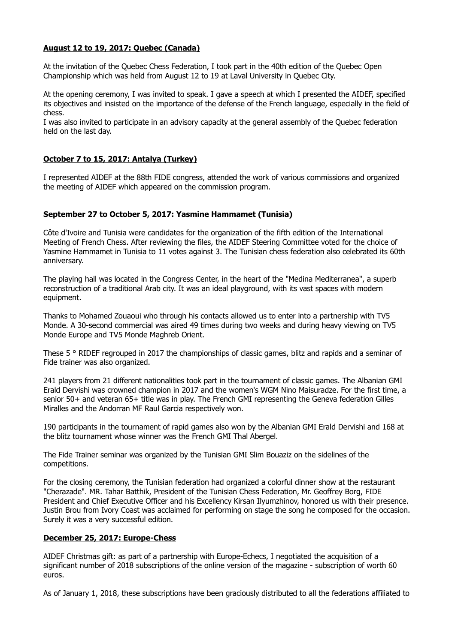### **August 12 to 19, 2017: Quebec (Canada)**

At the invitation of the Quebec Chess Federation, I took part in the 40th edition of the Quebec Open Championship which was held from August 12 to 19 at Laval University in Quebec City.

At the opening ceremony, I was invited to speak. I gave a speech at which I presented the AIDEF, specified its objectives and insisted on the importance of the defense of the French language, especially in the field of chess.

I was also invited to participate in an advisory capacity at the general assembly of the Quebec federation held on the last day.

## **October 7 to 15, 2017: Antalya (Turkey)**

I represented AIDEF at the 88th FIDE congress, attended the work of various commissions and organized the meeting of AIDEF which appeared on the commission program.

#### **September 27 to October 5, 2017: Yasmine Hammamet (Tunisia)**

Côte d'Ivoire and Tunisia were candidates for the organization of the fifth edition of the International Meeting of French Chess. After reviewing the files, the AIDEF Steering Committee voted for the choice of Yasmine Hammamet in Tunisia to 11 votes against 3. The Tunisian chess federation also celebrated its 60th anniversary.

The playing hall was located in the Congress Center, in the heart of the "Medina Mediterranea", a superb reconstruction of a traditional Arab city. It was an ideal playground, with its vast spaces with modern equipment.

Thanks to Mohamed Zouaoui who through his contacts allowed us to enter into a partnership with TV5 Monde. A 30-second commercial was aired 49 times during two weeks and during heavy viewing on TV5 Monde Europe and TV5 Monde Maghreb Orient.

These 5 ° RIDEF regrouped in 2017 the championships of classic games, blitz and rapids and a seminar of Fide trainer was also organized.

241 players from 21 different nationalities took part in the tournament of classic games. The Albanian GMI Erald Dervishi was crowned champion in 2017 and the women's WGM Nino Maisuradze. For the first time, a senior 50+ and veteran 65+ title was in play. The French GMI representing the Geneva federation Gilles Miralles and the Andorran MF Raul Garcia respectively won.

190 participants in the tournament of rapid games also won by the Albanian GMI Erald Dervishi and 168 at the blitz tournament whose winner was the French GMI Thal Abergel.

The Fide Trainer seminar was organized by the Tunisian GMI Slim Bouaziz on the sidelines of the competitions.

For the closing ceremony, the Tunisian federation had organized a colorful dinner show at the restaurant "Cherazade". MR. Tahar Batthik, President of the Tunisian Chess Federation, Mr. Geoffrey Borg, FIDE President and Chief Executive Officer and his Excellency Kirsan Ilyumzhinov, honored us with their presence. Justin Brou from Ivory Coast was acclaimed for performing on stage the song he composed for the occasion. Surely it was a very successful edition.

#### **December 25, 2017: Europe-Chess**

AIDEF Christmas gift: as part of a partnership with Europe-Echecs, I negotiated the acquisition of a significant number of 2018 subscriptions of the online version of the magazine - subscription of worth 60 euros.

As of January 1, 2018, these subscriptions have been graciously distributed to all the federations affiliated to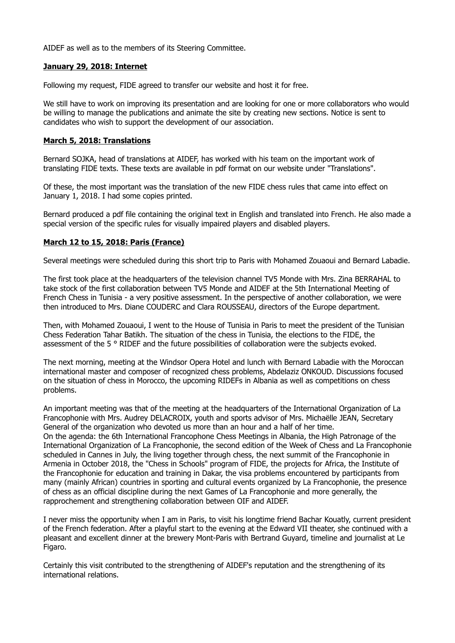AIDEF as well as to the members of its Steering Committee.

#### **January 29, 2018: Internet**

Following my request, FIDE agreed to transfer our website and host it for free.

We still have to work on improving its presentation and are looking for one or more collaborators who would be willing to manage the publications and animate the site by creating new sections. Notice is sent to candidates who wish to support the development of our association.

#### **March 5, 2018: Translations**

Bernard SOJKA, head of translations at AIDEF, has worked with his team on the important work of translating FIDE texts. These texts are available in pdf format on our website under "Translations".

Of these, the most important was the translation of the new FIDE chess rules that came into effect on January 1, 2018. I had some copies printed.

Bernard produced a pdf file containing the original text in English and translated into French. He also made a special version of the specific rules for visually impaired players and disabled players.

#### **March 12 to 15, 2018: Paris (France)**

Several meetings were scheduled during this short trip to Paris with Mohamed Zouaoui and Bernard Labadie.

The first took place at the headquarters of the television channel TV5 Monde with Mrs. Zina BERRAHAL to take stock of the first collaboration between TV5 Monde and AIDEF at the 5th International Meeting of French Chess in Tunisia - a very positive assessment. In the perspective of another collaboration, we were then introduced to Mrs. Diane COUDERC and Clara ROUSSEAU, directors of the Europe department.

Then, with Mohamed Zouaoui, I went to the House of Tunisia in Paris to meet the president of the Tunisian Chess Federation Tahar Batikh. The situation of the chess in Tunisia, the elections to the FIDE, the assessment of the 5 ° RIDEF and the future possibilities of collaboration were the subjects evoked.

The next morning, meeting at the Windsor Opera Hotel and lunch with Bernard Labadie with the Moroccan international master and composer of recognized chess problems, Abdelaziz ONKOUD. Discussions focused on the situation of chess in Morocco, the upcoming RIDEFs in Albania as well as competitions on chess problems.

An important meeting was that of the meeting at the headquarters of the International Organization of La Francophonie with Mrs. Audrey DELACROIX, youth and sports advisor of Mrs. Michaëlle JEAN, Secretary General of the organization who devoted us more than an hour and a half of her time. On the agenda: the 6th International Francophone Chess Meetings in Albania, the High Patronage of the International Organization of La Francophonie, the second edition of the Week of Chess and La Francophonie scheduled in Cannes in July, the living together through chess, the next summit of the Francophonie in Armenia in October 2018, the "Chess in Schools" program of FIDE, the projects for Africa, the Institute of the Francophonie for education and training in Dakar, the visa problems encountered by participants from many (mainly African) countries in sporting and cultural events organized by La Francophonie, the presence of chess as an official discipline during the next Games of La Francophonie and more generally, the rapprochement and strengthening collaboration between OIF and AIDEF.

I never miss the opportunity when I am in Paris, to visit his longtime friend Bachar Kouatly, current president of the French federation. After a playful start to the evening at the Edward VII theater, she continued with a pleasant and excellent dinner at the brewery Mont-Paris with Bertrand Guyard, timeline and journalist at Le Figaro.

Certainly this visit contributed to the strengthening of AIDEF's reputation and the strengthening of its international relations.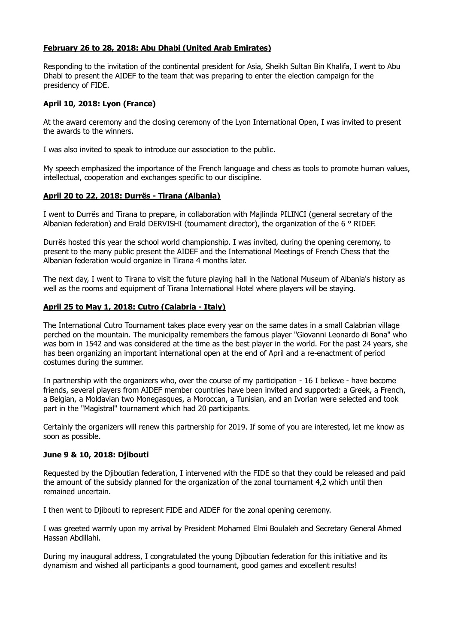## **February 26 to 28, 2018: Abu Dhabi (United Arab Emirates)**

Responding to the invitation of the continental president for Asia, Sheikh Sultan Bin Khalifa, I went to Abu Dhabi to present the AIDEF to the team that was preparing to enter the election campaign for the presidency of FIDE.

## **April 10, 2018: Lyon (France)**

At the award ceremony and the closing ceremony of the Lyon International Open, I was invited to present the awards to the winners.

I was also invited to speak to introduce our association to the public.

My speech emphasized the importance of the French language and chess as tools to promote human values, intellectual, cooperation and exchanges specific to our discipline.

## **April 20 to 22, 2018: Durrës - Tirana (Albania)**

I went to Durrës and Tirana to prepare, in collaboration with Majlinda PILINCI (general secretary of the Albanian federation) and Erald DERVISHI (tournament director), the organization of the 6 ° RIDEF.

Durrës hosted this year the school world championship. I was invited, during the opening ceremony, to present to the many public present the AIDEF and the International Meetings of French Chess that the Albanian federation would organize in Tirana 4 months later.

The next day, I went to Tirana to visit the future playing hall in the National Museum of Albania's history as well as the rooms and equipment of Tirana International Hotel where players will be staying.

## **April 25 to May 1, 2018: Cutro (Calabria - Italy)**

The International Cutro Tournament takes place every year on the same dates in a small Calabrian village perched on the mountain. The municipality remembers the famous player "Giovanni Leonardo di Bona" who was born in 1542 and was considered at the time as the best player in the world. For the past 24 years, she has been organizing an important international open at the end of April and a re-enactment of period costumes during the summer.

In partnership with the organizers who, over the course of my participation - 16 I believe - have become friends, several players from AIDEF member countries have been invited and supported: a Greek, a French, a Belgian, a Moldavian two Monegasques, a Moroccan, a Tunisian, and an Ivorian were selected and took part in the "Magistral" tournament which had 20 participants.

Certainly the organizers will renew this partnership for 2019. If some of you are interested, let me know as soon as possible.

## **June 9 & 10, 2018: Djibouti**

Requested by the Djiboutian federation, I intervened with the FIDE so that they could be released and paid the amount of the subsidy planned for the organization of the zonal tournament 4,2 which until then remained uncertain.

I then went to Djibouti to represent FIDE and AIDEF for the zonal opening ceremony.

I was greeted warmly upon my arrival by President Mohamed Elmi Boulaleh and Secretary General Ahmed Hassan Abdillahi.

During my inaugural address, I congratulated the young Djiboutian federation for this initiative and its dynamism and wished all participants a good tournament, good games and excellent results!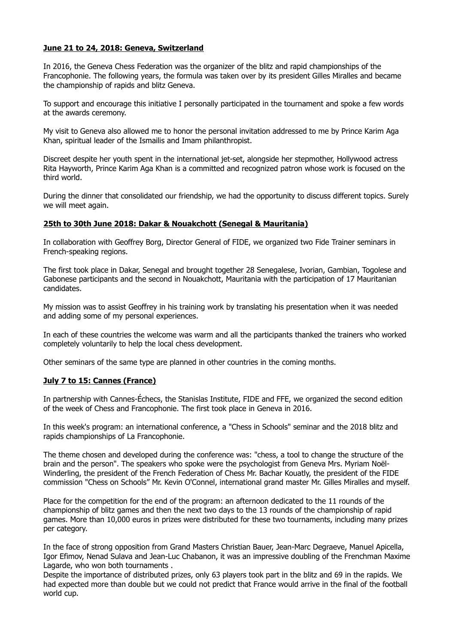### **June 21 to 24, 2018: Geneva, Switzerland**

In 2016, the Geneva Chess Federation was the organizer of the blitz and rapid championships of the Francophonie. The following years, the formula was taken over by its president Gilles Miralles and became the championship of rapids and blitz Geneva.

To support and encourage this initiative I personally participated in the tournament and spoke a few words at the awards ceremony.

My visit to Geneva also allowed me to honor the personal invitation addressed to me by Prince Karim Aga Khan, spiritual leader of the Ismailis and Imam philanthropist.

Discreet despite her youth spent in the international jet-set, alongside her stepmother, Hollywood actress Rita Hayworth, Prince Karim Aga Khan is a committed and recognized patron whose work is focused on the third world.

During the dinner that consolidated our friendship, we had the opportunity to discuss different topics. Surely we will meet again.

#### **25th to 30th June 2018: Dakar & Nouakchott (Senegal & Mauritania)**

In collaboration with Geoffrey Borg, Director General of FIDE, we organized two Fide Trainer seminars in French-speaking regions.

The first took place in Dakar, Senegal and brought together 28 Senegalese, Ivorian, Gambian, Togolese and Gabonese participants and the second in Nouakchott, Mauritania with the participation of 17 Mauritanian candidates.

My mission was to assist Geoffrey in his training work by translating his presentation when it was needed and adding some of my personal experiences.

In each of these countries the welcome was warm and all the participants thanked the trainers who worked completely voluntarily to help the local chess development.

Other seminars of the same type are planned in other countries in the coming months.

## **July 7 to 15: Cannes (France)**

In partnership with Cannes-Échecs, the Stanislas Institute, FIDE and FFE, we organized the second edition of the week of Chess and Francophonie. The first took place in Geneva in 2016.

In this week's program: an international conference, a "Chess in Schools" seminar and the 2018 blitz and rapids championships of La Francophonie.

The theme chosen and developed during the conference was: "chess, a tool to change the structure of the brain and the person". The speakers who spoke were the psychologist from Geneva Mrs. Myriam Noël-Winderling, the president of the French Federation of Chess Mr. Bachar Kouatly, the president of the FIDE commission "Chess on Schools" Mr. Kevin O'Connel, international grand master Mr. Gilles Miralles and myself.

Place for the competition for the end of the program: an afternoon dedicated to the 11 rounds of the championship of blitz games and then the next two days to the 13 rounds of the championship of rapid games. More than 10,000 euros in prizes were distributed for these two tournaments, including many prizes per category.

In the face of strong opposition from Grand Masters Christian Bauer, Jean-Marc Degraeve, Manuel Apicella, Igor Efimov, Nenad Sulava and Jean-Luc Chabanon, it was an impressive doubling of the Frenchman Maxime Lagarde, who won both tournaments .

Despite the importance of distributed prizes, only 63 players took part in the blitz and 69 in the rapids. We had expected more than double but we could not predict that France would arrive in the final of the football world cup.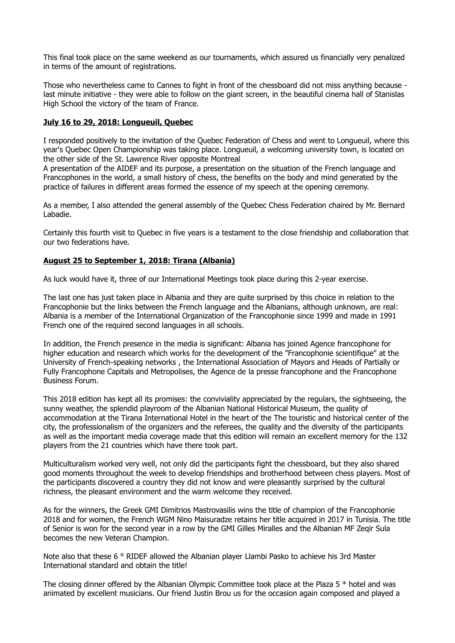This final took place on the same weekend as our tournaments, which assured us financially very penalized in terms of the amount of registrations.

Those who nevertheless came to Cannes to fight in front of the chessboard did not miss anything because last minute initiative - they were able to follow on the giant screen, in the beautiful cinema hall of Stanislas High School the victory of the team of France.

### **July 16 to 29, 2018: Longueuil, Quebec**

I responded positively to the invitation of the Quebec Federation of Chess and went to Longueuil, where this year's Quebec Open Championship was taking place. Longueuil, a welcoming university town, is located on the other side of the St. Lawrence River opposite Montreal

A presentation of the AIDEF and its purpose, a presentation on the situation of the French language and Francophones in the world, a small history of chess, the benefits on the body and mind generated by the practice of failures in different areas formed the essence of my speech at the opening ceremony.

As a member, I also attended the general assembly of the Quebec Chess Federation chaired by Mr. Bernard Labadie.

Certainly this fourth visit to Quebec in five years is a testament to the close friendship and collaboration that our two federations have.

## **August 25 to September 1, 2018: Tirana (Albania)**

As luck would have it, three of our International Meetings took place during this 2-year exercise.

The last one has just taken place in Albania and they are quite surprised by this choice in relation to the Francophonie but the links between the French language and the Albanians, although unknown, are real: Albania is a member of the International Organization of the Francophonie since 1999 and made in 1991 French one of the required second languages in all schools.

In addition, the French presence in the media is significant: Albania has joined Agence francophone for higher education and research which works for the development of the "Francophonie scientifique" at the University of French-speaking networks , the International Association of Mayors and Heads of Partially or Fully Francophone Capitals and Metropolises, the Agence de la presse francophone and the Francophone Business Forum.

This 2018 edition has kept all its promises: the conviviality appreciated by the regulars, the sightseeing, the sunny weather, the splendid playroom of the Albanian National Historical Museum, the quality of accommodation at the Tirana International Hotel in the heart of the The touristic and historical center of the city, the professionalism of the organizers and the referees, the quality and the diversity of the participants as well as the important media coverage made that this edition will remain an excellent memory for the 132 players from the 21 countries which have there took part.

Multiculturalism worked very well, not only did the participants fight the chessboard, but they also shared good moments throughout the week to develop friendships and brotherhood between chess players. Most of the participants discovered a country they did not know and were pleasantly surprised by the cultural richness, the pleasant environment and the warm welcome they received.

As for the winners, the Greek GMI Dimitrios Mastrovasilis wins the title of champion of the Francophonie 2018 and for women, the French WGM Nino Maisuradze retains her title acquired in 2017 in Tunisia. The title of Senior is won for the second year in a row by the GMI Gilles Miralles and the Albanian MF Zeqir Sula becomes the new Veteran Champion.

Note also that these 6 ° RIDEF allowed the Albanian player Llambi Pasko to achieve his 3rd Master International standard and obtain the title!

The closing dinner offered by the Albanian Olympic Committee took place at the Plaza 5 \* hotel and was animated by excellent musicians. Our friend Justin Brou us for the occasion again composed and played a